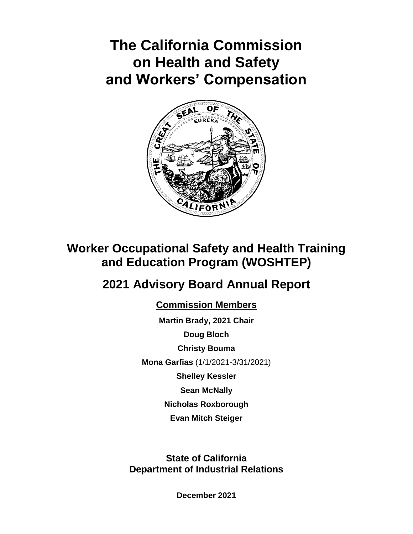# **The California Commission on Health and Safety and Workers' Compensation**



# **Worker Occupational Safety and Health Training and Education Program (WOSHTEP)**

# **2021 Advisory Board Annual Report**

**Commission Members**

**Martin Brady, 2021 Chair Doug Bloch Christy Bouma Mona Garfias** (1/1/2021-3/31/2021) **Shelley Kessler Sean McNally Nicholas Roxborough Evan Mitch Steiger**

**State of California Department of Industrial Relations**

**December 2021**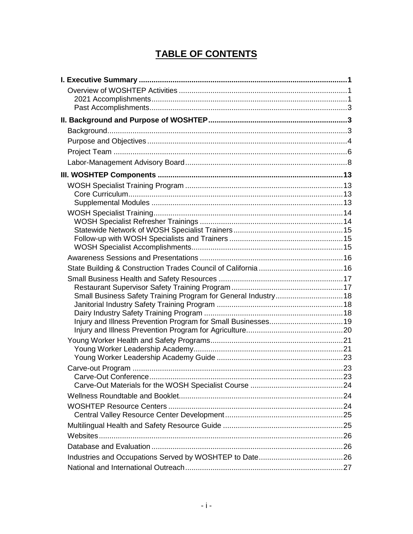# **TABLE OF CONTENTS**

| Small Business Safety Training Program for General Industry 18 |  |
|----------------------------------------------------------------|--|
|                                                                |  |
|                                                                |  |
|                                                                |  |
|                                                                |  |
|                                                                |  |
|                                                                |  |
|                                                                |  |
|                                                                |  |
|                                                                |  |
|                                                                |  |
|                                                                |  |
|                                                                |  |
|                                                                |  |
|                                                                |  |
|                                                                |  |
|                                                                |  |
|                                                                |  |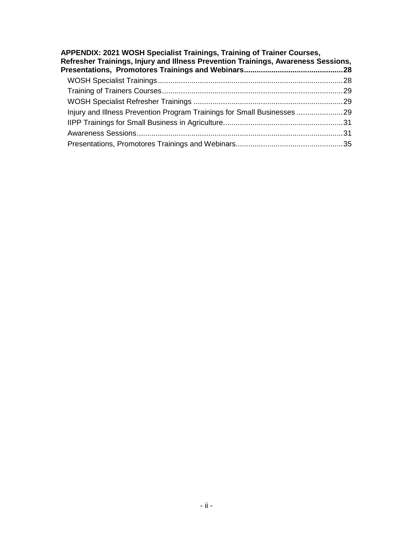| APPENDIX: 2021 WOSH Specialist Trainings, Training of Trainer Courses,<br>Refresher Trainings, Injury and Illness Prevention Trainings, Awareness Sessions, |  |
|-------------------------------------------------------------------------------------------------------------------------------------------------------------|--|
|                                                                                                                                                             |  |
|                                                                                                                                                             |  |
|                                                                                                                                                             |  |
| Injury and Illness Prevention Program Trainings for Small Businesses 29                                                                                     |  |
|                                                                                                                                                             |  |
|                                                                                                                                                             |  |
|                                                                                                                                                             |  |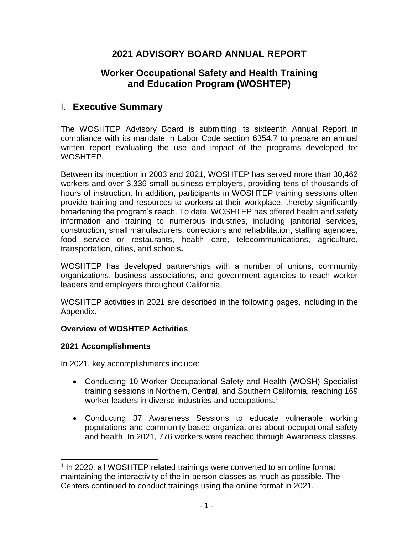# **2021 ADVISORY BOARD ANNUAL REPORT**

# **Worker Occupational Safety and Health Training and Education Program (WOSHTEP)**

# I. **Executive Summary**

The WOSHTEP Advisory Board is submitting its sixteenth Annual Report in compliance with its mandate in Labor Code section 6354.7 to prepare an annual written report evaluating the use and impact of the programs developed for WOSHTEP.

Between its inception in 2003 and 2021, WOSHTEP has served more than 30,462 workers and over 3,336 small business employers, providing tens of thousands of hours of instruction. In addition, participants in WOSHTEP training sessions often provide training and resources to workers at their workplace, thereby significantly broadening the program's reach. To date, WOSHTEP has offered health and safety information and training to numerous industries, including janitorial services, construction, small manufacturers, corrections and rehabilitation, staffing agencies, food service or restaurants, health care, telecommunications, agriculture, transportation, cities, and schools**.**

WOSHTEP has developed partnerships with a number of unions, community organizations, business associations, and government agencies to reach worker leaders and employers throughout California.

WOSHTEP activities in 2021 are described in the following pages, including in the Appendix.

## **Overview of WOSHTEP Activities**

# **2021 Accomplishments**

l

In 2021, key accomplishments include:

- Conducting 10 Worker Occupational Safety and Health (WOSH) Specialist training sessions in Northern, Central, and Southern California, reaching 169 worker leaders in diverse industries and occupations.<sup>1</sup>
- Conducting 37 Awareness Sessions to educate vulnerable working populations and community-based organizations about occupational safety and health. In 2021, 776 workers were reached through Awareness classes.

<sup>&</sup>lt;sup>1</sup> In 2020, all WOSHTEP related trainings were converted to an online format maintaining the interactivity of the in-person classes as much as possible. The Centers continued to conduct trainings using the online format in 2021.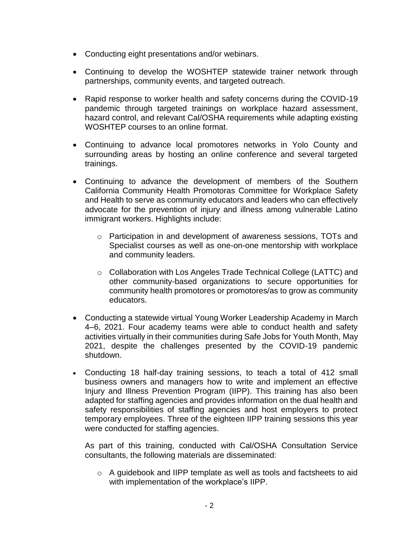- Conducting eight presentations and/or webinars.
- Continuing to develop the WOSHTEP statewide trainer network through partnerships, community events, and targeted outreach.
- Rapid response to worker health and safety concerns during the COVID-19 pandemic through targeted trainings on workplace hazard assessment, hazard control, and relevant Cal/OSHA requirements while adapting existing WOSHTEP courses to an online format.
- Continuing to advance local promotores networks in Yolo County and surrounding areas by hosting an online conference and several targeted trainings.
- Continuing to advance the development of members of the Southern California Community Health Promotoras Committee for Workplace Safety and Health to serve as community educators and leaders who can effectively advocate for the prevention of injury and illness among vulnerable Latino immigrant workers. Highlights include:
	- o Participation in and development of awareness sessions, TOTs and Specialist courses as well as one-on-one mentorship with workplace and community leaders.
	- o Collaboration with Los Angeles Trade Technical College (LATTC) and other community-based organizations to secure opportunities for community health promotores or promotores/as to grow as community educators.
- Conducting a statewide virtual Young Worker Leadership Academy in March 4–6, 2021. Four academy teams were able to conduct health and safety activities virtually in their communities during Safe Jobs for Youth Month, May 2021, despite the challenges presented by the COVID-19 pandemic shutdown.
- Conducting 18 half-day training sessions, to teach a total of 412 small business owners and managers how to write and implement an effective Injury and Illness Prevention Program (IIPP). This training has also been adapted for staffing agencies and provides information on the dual health and safety responsibilities of staffing agencies and host employers to protect temporary employees. Three of the eighteen IIPP training sessions this year were conducted for staffing agencies.

As part of this training, conducted with Cal/OSHA Consultation Service consultants, the following materials are disseminated:

o A guidebook and IIPP template as well as tools and factsheets to aid with implementation of the workplace's IIPP.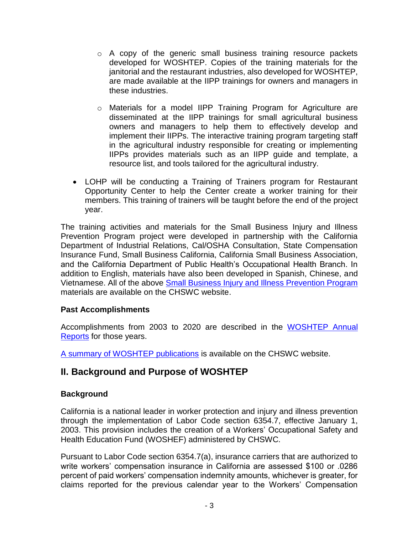- $\circ$  A copy of the generic small business training resource packets developed for WOSHTEP. Copies of the training materials for the janitorial and the restaurant industries, also developed for WOSHTEP, are made available at the IIPP trainings for owners and managers in these industries.
- o Materials for a model IIPP Training Program for Agriculture are disseminated at the IIPP trainings for small agricultural business owners and managers to help them to effectively develop and implement their IIPPs. The interactive training program targeting staff in the agricultural industry responsible for creating or implementing IIPPs provides materials such as an IIPP guide and template, a resource list, and tools tailored for the agricultural industry.
- LOHP will be conducting a Training of Trainers program for Restaurant Opportunity Center to help the Center create a worker training for their members. This training of trainers will be taught before the end of the project year.

The training activities and materials for the Small Business Injury and Illness Prevention Program project were developed in partnership with the California Department of Industrial Relations, Cal/OSHA Consultation, State Compensation Insurance Fund, Small Business California, California Small Business Association, and the California Department of Public Health's Occupational Health Branch. In addition to English, materials have also been developed in Spanish, Chinese, and Vietnamese. All of the above [Small Business Injury and Illness Prevention Program](http://www.dir.ca.gov/chswc/WOSHTEP/iipp/) materials are available on the CHSWC website.

# **Past Accomplishments**

Accomplishments from 2003 to 2020 are described in the [WOSHTEP Annual](http://www.dir.ca.gov/chswc/WOSHTEP.html#1)  [Reports](http://www.dir.ca.gov/chswc/WOSHTEP.html#1) for those years.

[A summary of WOSHTEP publications](https://www.dir.ca.gov/chswc/woshtep.html) is available on the CHSWC website.

# **II. Background and Purpose of WOSHTEP**

# **Background**

California is a national leader in worker protection and injury and illness prevention through the implementation of Labor Code section 6354.7, effective January 1, 2003. This provision includes the creation of a Workers' Occupational Safety and Health Education Fund (WOSHEF) administered by CHSWC.

Pursuant to Labor Code section 6354.7(a), insurance carriers that are authorized to write workers' compensation insurance in California are assessed \$100 or .0286 percent of paid workers' compensation indemnity amounts, whichever is greater, for claims reported for the previous calendar year to the Workers' Compensation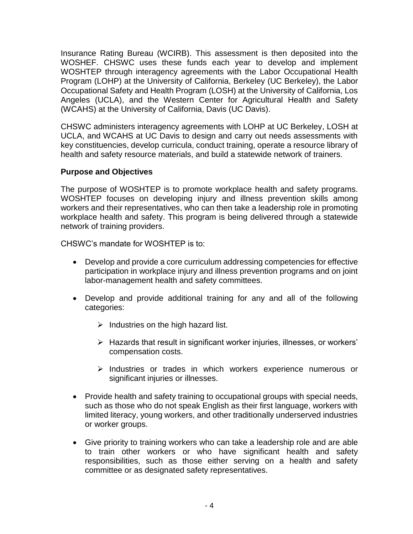Insurance Rating Bureau (WCIRB). This assessment is then deposited into the WOSHEF. CHSWC uses these funds each year to develop and implement WOSHTEP through interagency agreements with the Labor Occupational Health Program (LOHP) at the University of California, Berkeley (UC Berkeley), the Labor Occupational Safety and Health Program (LOSH) at the University of California, Los Angeles (UCLA), and the Western Center for Agricultural Health and Safety (WCAHS) at the University of California, Davis (UC Davis).

CHSWC administers interagency agreements with LOHP at UC Berkeley, LOSH at UCLA, and WCAHS at UC Davis to design and carry out needs assessments with key constituencies, develop curricula, conduct training, operate a resource library of health and safety resource materials, and build a statewide network of trainers.

## **Purpose and Objectives**

The purpose of WOSHTEP is to promote workplace health and safety programs. WOSHTEP focuses on developing injury and illness prevention skills among workers and their representatives, who can then take a leadership role in promoting workplace health and safety. This program is being delivered through a statewide network of training providers.

CHSWC's mandate for WOSHTEP is to:

- Develop and provide a core curriculum addressing competencies for effective participation in workplace injury and illness prevention programs and on joint labor-management health and safety committees.
- Develop and provide additional training for any and all of the following categories:
	- $\triangleright$  Industries on the high hazard list.
	- Hazards that result in significant worker injuries, illnesses, or workers' compensation costs.
	- $\triangleright$  Industries or trades in which workers experience numerous or significant injuries or illnesses.
- Provide health and safety training to occupational groups with special needs, such as those who do not speak English as their first language, workers with limited literacy, young workers, and other traditionally underserved industries or worker groups.
- Give priority to training workers who can take a leadership role and are able to train other workers or who have significant health and safety responsibilities, such as those either serving on a health and safety committee or as designated safety representatives.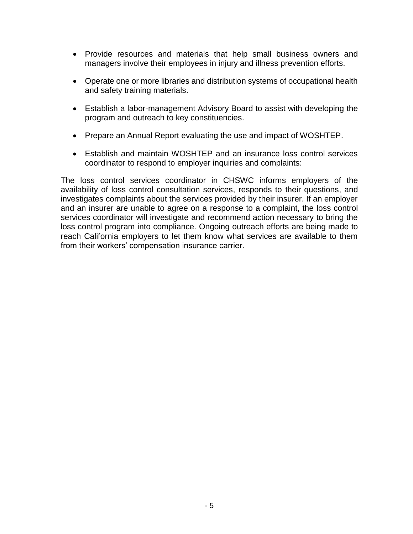- Provide resources and materials that help small business owners and managers involve their employees in injury and illness prevention efforts.
- Operate one or more libraries and distribution systems of occupational health and safety training materials.
- Establish a labor-management Advisory Board to assist with developing the program and outreach to key constituencies.
- Prepare an Annual Report evaluating the use and impact of WOSHTEP.
- Establish and maintain WOSHTEP and an insurance loss control services coordinator to respond to employer inquiries and complaints:

The loss control services coordinator in CHSWC informs employers of the availability of loss control consultation services, responds to their questions, and investigates complaints about the services provided by their insurer. If an employer and an insurer are unable to agree on a response to a complaint, the loss control services coordinator will investigate and recommend action necessary to bring the loss control program into compliance. Ongoing outreach efforts are being made to reach California employers to let them know what services are available to them from their workers' compensation insurance carrier.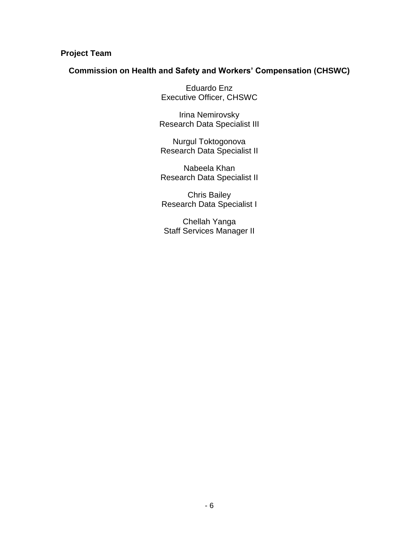# **Project Team**

#### **Commission on Health and Safety and Workers' Compensation (CHSWC)**

Eduardo Enz Executive Officer, CHSWC

Irina Nemirovsky Research Data Specialist III

Nurgul Toktogonova Research Data Specialist II

Nabeela Khan Research Data Specialist II

Chris Bailey Research Data Specialist I

Chellah Yanga Staff Services Manager II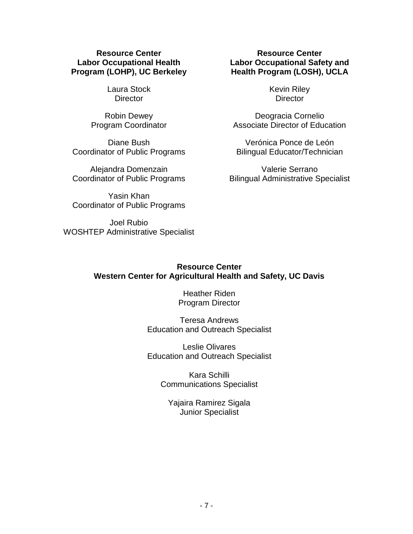#### **Resource Center Labor Occupational Health Program (LOHP), UC Berkeley**

Laura Stock **Director** 

Robin Dewey Program Coordinator

Diane Bush Coordinator of Public Programs

Alejandra Domenzain Coordinator of Public Programs

Yasin Khan Coordinator of Public Programs

Joel Rubio WOSHTEP Administrative Specialist

## **Resource Center Labor Occupational Safety and Health Program (LOSH), UCLA**

Kevin Riley **Director** 

Deogracia Cornelio Associate Director of Education

Verónica Ponce de León Bilingual Educator/Technician

Valerie Serrano Bilingual Administrative Specialist

# **Resource Center Western Center for Agricultural Health and Safety, UC Davis**

Heather Riden Program Director

Teresa Andrews Education and Outreach Specialist

Leslie Olivares Education and Outreach Specialist

> Kara Schilli Communications Specialist

Yajaira Ramirez Sigala Junior Specialist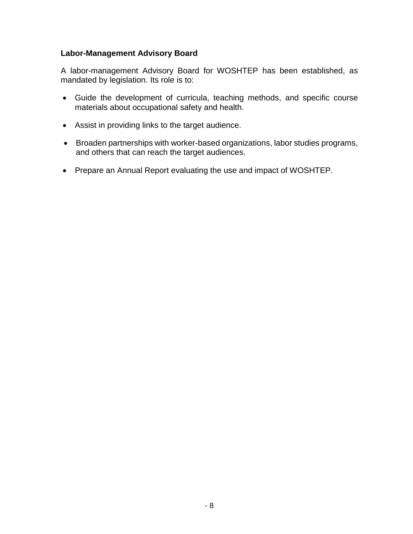## **Labor-Management Advisory Board**

A labor-management Advisory Board for WOSHTEP has been established, as mandated by legislation. Its role is to:

- Guide the development of curricula, teaching methods, and specific course materials about occupational safety and health.
- Assist in providing links to the target audience.
- Broaden partnerships with worker-based organizations, labor studies programs, and others that can reach the target audiences.
- Prepare an Annual Report evaluating the use and impact of WOSHTEP.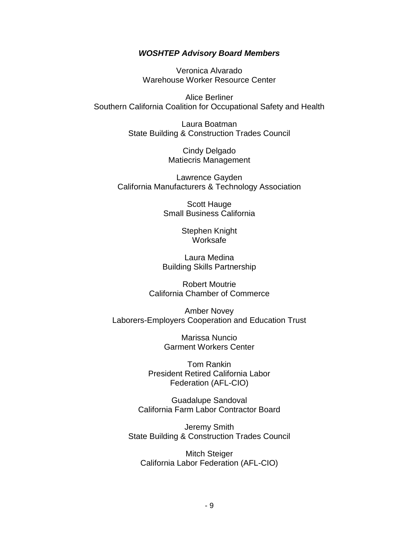#### *WOSHTEP Advisory Board Members*

Veronica Alvarado Warehouse Worker Resource Center

Alice Berliner Southern California Coalition for Occupational Safety and Health

> Laura Boatman State Building & Construction Trades Council

> > Cindy Delgado Matiecris Management

Lawrence Gayden California Manufacturers & Technology Association

> Scott Hauge Small Business California

> > Stephen Knight Worksafe

Laura Medina Building Skills Partnership

Robert Moutrie California Chamber of Commerce

Amber Novey Laborers-Employers Cooperation and Education Trust

> Marissa Nuncio Garment Workers Center

Tom Rankin President Retired California Labor Federation (AFL-CIO)

Guadalupe Sandoval California Farm Labor Contractor Board

Jeremy Smith State Building & Construction Trades Council

Mitch Steiger California Labor Federation (AFL-CIO)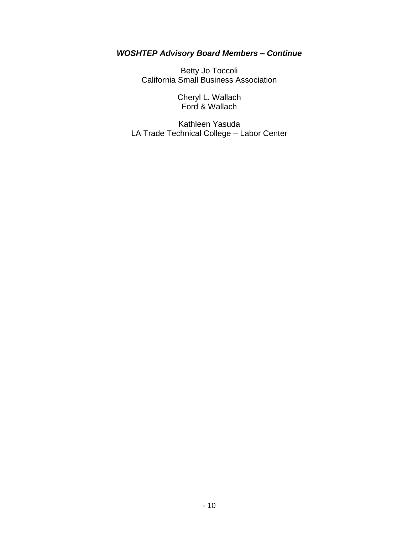# *WOSHTEP Advisory Board Members – Continue*

Betty Jo Toccoli California Small Business Association

> Cheryl L. Wallach Ford & Wallach

Kathleen Yasuda LA Trade Technical College – Labor Center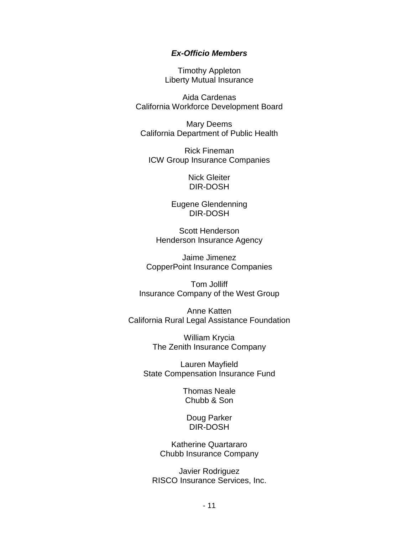#### *Ex-Officio Members*

Timothy Appleton Liberty Mutual Insurance

Aida Cardenas California Workforce Development Board

Mary Deems California Department of Public Health

Rick Fineman ICW Group Insurance Companies

> Nick Gleiter DIR-DOSH

Eugene Glendenning DIR-DOSH

Scott Henderson Henderson Insurance Agency

Jaime Jimenez CopperPoint Insurance Companies

Tom Jolliff Insurance Company of the West Group

Anne Katten California Rural Legal Assistance Foundation

> William Krycia The Zenith Insurance Company

Lauren Mayfield State Compensation Insurance Fund

> Thomas Neale Chubb & Son

Doug Parker DIR-DOSH

Katherine Quartararo Chubb Insurance Company

Javier Rodriguez RISCO Insurance Services, Inc.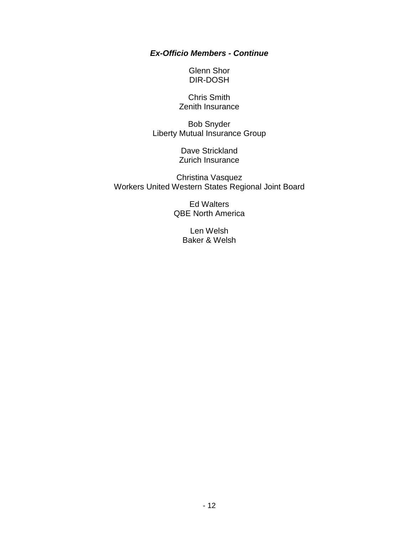## *Ex-Officio Members - Continue*

Glenn Shor DIR-DOSH

Chris Smith Zenith Insurance

Bob Snyder Liberty Mutual Insurance Group

> Dave Strickland Zurich Insurance

Christina Vasquez Workers United Western States Regional Joint Board

> Ed Walters QBE North America

> > Len Welsh Baker & Welsh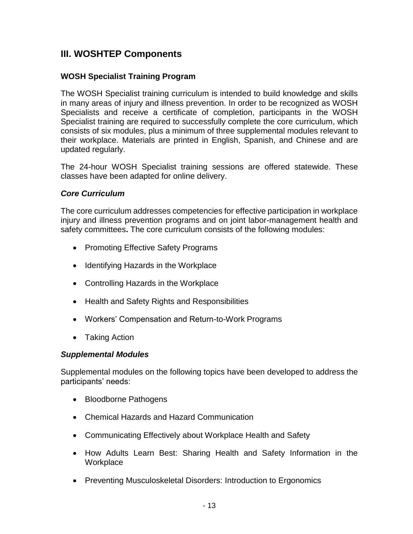# **III. WOSHTEP Components**

# **WOSH Specialist Training Program**

The WOSH Specialist training curriculum is intended to build knowledge and skills in many areas of injury and illness prevention. In order to be recognized as WOSH Specialists and receive a certificate of completion, participants in the WOSH Specialist training are required to successfully complete the core curriculum, which consists of six modules, plus a minimum of three supplemental modules relevant to their workplace. Materials are printed in English, Spanish, and Chinese and are updated regularly.

The 24-hour WOSH Specialist training sessions are offered statewide. These classes have been adapted for online delivery.

# *Core Curriculum*

The core curriculum addresses competencies for effective participation in workplace injury and illness prevention programs and on joint labor-management health and safety committees**.** The core curriculum consists of the following modules:

- Promoting Effective Safety Programs
- Identifying Hazards in the Workplace
- Controlling Hazards in the Workplace
- Health and Safety Rights and Responsibilities
- Workers' Compensation and Return-to-Work Programs
- Taking Action

# *Supplemental Modules*

Supplemental modules on the following topics have been developed to address the participants' needs:

- Bloodborne Pathogens
- Chemical Hazards and Hazard Communication
- Communicating Effectively about Workplace Health and Safety
- How Adults Learn Best: Sharing Health and Safety Information in the **Workplace**
- Preventing Musculoskeletal Disorders: Introduction to Ergonomics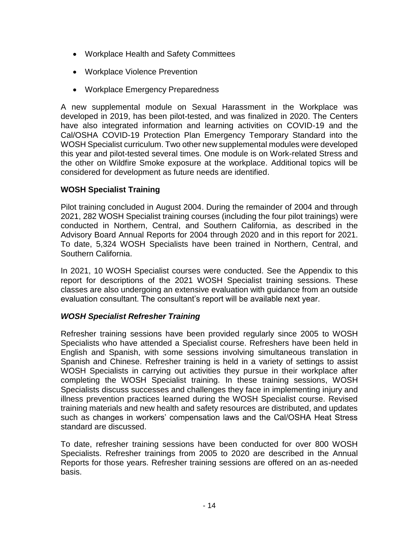- Workplace Health and Safety Committees
- Workplace Violence Prevention
- Workplace Emergency Preparedness

A new supplemental module on Sexual Harassment in the Workplace was developed in 2019, has been pilot-tested, and was finalized in 2020. The Centers have also integrated information and learning activities on COVID-19 and the Cal/OSHA COVID-19 Protection Plan Emergency Temporary Standard into the WOSH Specialist curriculum. Two other new supplemental modules were developed this year and pilot-tested several times. One module is on Work-related Stress and the other on Wildfire Smoke exposure at the workplace. Additional topics will be considered for development as future needs are identified.

# **WOSH Specialist Training**

Pilot training concluded in August 2004. During the remainder of 2004 and through 2021, 282 WOSH Specialist training courses (including the four pilot trainings) were conducted in Northern, Central, and Southern California, as described in the Advisory Board Annual Reports for 2004 through 2020 and in this report for 2021. To date, 5,324 WOSH Specialists have been trained in Northern, Central, and Southern California.

In 2021, 10 WOSH Specialist courses were conducted. See the Appendix to this report for descriptions of the 2021 WOSH Specialist training sessions. These classes are also undergoing an extensive evaluation with guidance from an outside evaluation consultant. The consultant's report will be available next year.

# *WOSH Specialist Refresher Training*

Refresher training sessions have been provided regularly since 2005 to WOSH Specialists who have attended a Specialist course. Refreshers have been held in English and Spanish, with some sessions involving simultaneous translation in Spanish and Chinese. Refresher training is held in a variety of settings to assist WOSH Specialists in carrying out activities they pursue in their workplace after completing the WOSH Specialist training. In these training sessions, WOSH Specialists discuss successes and challenges they face in implementing injury and illness prevention practices learned during the WOSH Specialist course. Revised training materials and new health and safety resources are distributed, and updates such as changes in workers' compensation laws and the Cal/OSHA Heat Stress standard are discussed.

To date, refresher training sessions have been conducted for over 800 WOSH Specialists. Refresher trainings from 2005 to 2020 are described in the Annual Reports for those years. Refresher training sessions are offered on an as-needed basis.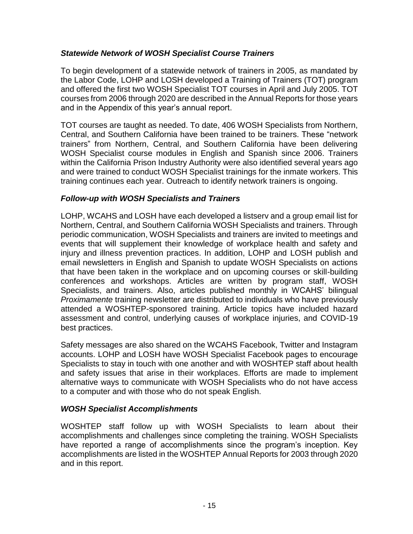# *Statewide Network of WOSH Specialist Course Trainers*

To begin development of a statewide network of trainers in 2005, as mandated by the Labor Code, LOHP and LOSH developed a Training of Trainers (TOT) program and offered the first two WOSH Specialist TOT courses in April and July 2005. TOT courses from 2006 through 2020 are described in the Annual Reports for those years and in the Appendix of this year's annual report.

TOT courses are taught as needed. To date, 406 WOSH Specialists from Northern, Central, and Southern California have been trained to be trainers. These "network trainers" from Northern, Central, and Southern California have been delivering WOSH Specialist course modules in English and Spanish since 2006. Trainers within the California Prison Industry Authority were also identified several years ago and were trained to conduct WOSH Specialist trainings for the inmate workers. This training continues each year. Outreach to identify network trainers is ongoing.

## *Follow-up with WOSH Specialists and Trainers*

LOHP, WCAHS and LOSH have each developed a listserv and a group email list for Northern, Central, and Southern California WOSH Specialists and trainers. Through periodic communication, WOSH Specialists and trainers are invited to meetings and events that will supplement their knowledge of workplace health and safety and injury and illness prevention practices. In addition, LOHP and LOSH publish and email newsletters in English and Spanish to update WOSH Specialists on actions that have been taken in the workplace and on upcoming courses or skill-building conferences and workshops. Articles are written by program staff, WOSH Specialists, and trainers. Also, articles published monthly in WCAHS' bilingual *Proximamente* training newsletter are distributed to individuals who have previously attended a WOSHTEP-sponsored training. Article topics have included hazard assessment and control, underlying causes of workplace injuries, and COVID-19 best practices.

Safety messages are also shared on the WCAHS Facebook, Twitter and Instagram accounts. LOHP and LOSH have WOSH Specialist Facebook pages to encourage Specialists to stay in touch with one another and with WOSHTEP staff about health and safety issues that arise in their workplaces. Efforts are made to implement alternative ways to communicate with WOSH Specialists who do not have access to a computer and with those who do not speak English.

# *WOSH Specialist Accomplishments*

WOSHTEP staff follow up with WOSH Specialists to learn about their accomplishments and challenges since completing the training. WOSH Specialists have reported a range of accomplishments since the program's inception. Key accomplishments are listed in the WOSHTEP Annual Reports for 2003 through 2020 and in this report.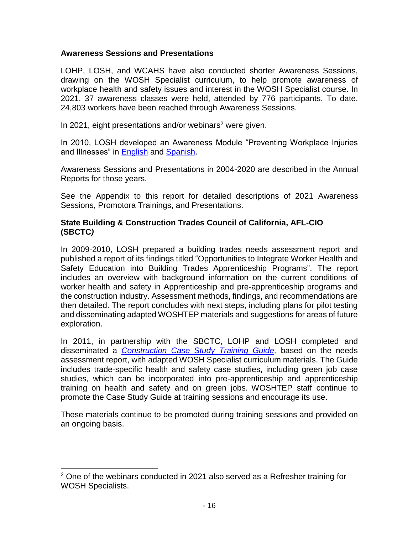## **Awareness Sessions and Presentations**

LOHP, LOSH, and WCAHS have also conducted shorter Awareness Sessions, drawing on the WOSH Specialist curriculum, to help promote awareness of workplace health and safety issues and interest in the WOSH Specialist course. In 2021, 37 awareness classes were held, attended by 776 participants. To date, 24,803 workers have been reached through Awareness Sessions.

In 2021, eight presentations and/or webinars<sup>2</sup> were given.

In 2010, LOSH developed an Awareness Module "Preventing Workplace Injuries and Illnesses" in [English](https://www.dir.ca.gov/chswc/WOSHTEP/Awareness/AwarenessModuleEnglish.pdf) and [Spanish.](https://www.dir.ca.gov/chswc/WOSHTEP/Awareness/AwarenessModuleSpanish.pdf)

Awareness Sessions and Presentations in 2004-2020 are described in the Annual Reports for those years.

See the Appendix to this report for detailed descriptions of 2021 Awareness Sessions, Promotora Trainings, and Presentations.

## **State Building & Construction Trades Council of California, AFL-CIO (SBCTC***)*

In 2009-2010, LOSH prepared a building trades needs assessment report and published a report of its findings titled "Opportunities to Integrate Worker Health and Safety Education into Building Trades Apprenticeship Programs". The report includes an overview with background information on the current conditions of worker health and safety in Apprenticeship and pre-apprenticeship programs and the construction industry. Assessment methods, findings, and recommendations are then detailed. The report concludes with next steps, including plans for pilot testing and disseminating adapted WOSHTEP materials and suggestions for areas of future exploration.

In 2011, in partnership with the SBCTC, LOHP and LOSH completed and disseminated a *[Construction Case Study Training Guide,](https://lohp.berkeley.edu/wp-content/uploads/olddocs/ConstructionCaseGuide.pdf)* based on the needs assessment report, with adapted WOSH Specialist curriculum materials. The Guide includes trade-specific health and safety case studies, including green job case studies, which can be incorporated into pre-apprenticeship and apprenticeship training on health and safety and on green jobs. WOSHTEP staff continue to promote the Case Study Guide at training sessions and encourage its use.

These materials continue to be promoted during training sessions and provided on an ongoing basis.

 $\overline{a}$ 

 $2$  One of the webinars conducted in 2021 also served as a Refresher training for WOSH Specialists.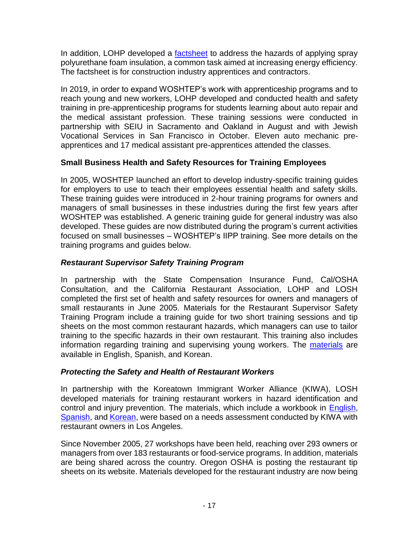In addition, LOHP developed a [factsheet](http://www.dir.ca.gov/chswc/WOSHTEP/Publications/Spray_Polyurethane.pdf) to address the hazards of applying spray polyurethane foam insulation, a common task aimed at increasing energy efficiency. The factsheet is for construction industry apprentices and contractors.

In 2019, in order to expand WOSHTEP's work with apprenticeship programs and to reach young and new workers, LOHP developed and conducted health and safety training in pre-apprenticeship programs for students learning about auto repair and the medical assistant profession. These training sessions were conducted in partnership with SEIU in Sacramento and Oakland in August and with Jewish Vocational Services in San Francisco in October. Eleven auto mechanic preapprentices and 17 medical assistant pre-apprentices attended the classes.

# **Small Business Health and Safety Resources for Training Employees**

In 2005, WOSHTEP launched an effort to develop industry-specific training guides for employers to use to teach their employees essential health and safety skills. These training guides were introduced in 2-hour training programs for owners and managers of small businesses in these industries during the first few years after WOSHTEP was established. A generic training guide for general industry was also developed. These guides are now distributed during the program's current activities focused on small businesses – WOSHTEP's IIPP training. See more details on the training programs and guides below.

# *Restaurant Supervisor Safety Training Program*

In partnership with the State Compensation Insurance Fund, Cal/OSHA Consultation, and the California Restaurant Association, LOHP and LOSH completed the first set of health and safety resources for owners and managers of small restaurants in June 2005. Materials for the Restaurant Supervisor Safety Training Program include a training guide for two short training sessions and tip sheets on the most common restaurant hazards, which managers can use to tailor training to the specific hazards in their own restaurant. This training also includes information regarding training and supervising young workers. The [materials](http://www.dir.ca.gov/CHSWC/SBMRMaterials.htm) are available in English, Spanish, and Korean.

# *Protecting the Safety and Health of Restaurant Workers*

In partnership with the Koreatown Immigrant Worker Alliance (KIWA), LOSH developed materials for training restaurant workers in hazard identification and control and injury prevention. The materials, which include a workbook in [English,](https://lohp.berkeley.edu/wp-content/uploads/2013/10/RestaurantWorkbook.pdf) [Spanish,](https://lohp.berkeley.edu/wp-content/uploads/2013/10/RestaurantWorkbook_Spanish.pdf) and [Korean,](https://lohp.berkeley.edu/wp-content/uploads/2013/10/RestaurantWorkbook_Korean.pdf) were based on a needs assessment conducted by KIWA with restaurant owners in Los Angeles.

Since November 2005, 27 workshops have been held, reaching over 293 owners or managers from over 183 restaurants or food-service programs. In addition, materials are being shared across the country. Oregon OSHA is posting the restaurant tip sheets on its website. Materials developed for the restaurant industry are now being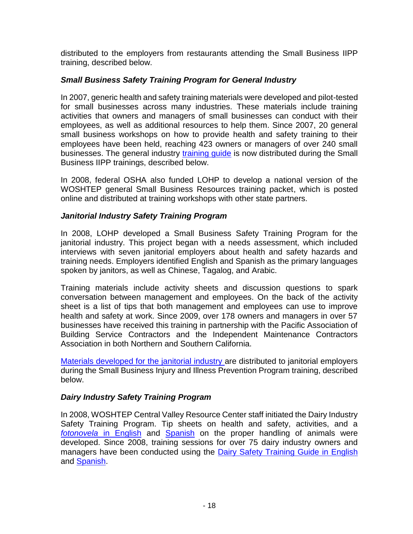distributed to the employers from restaurants attending the Small Business IIPP training, described below.

# *Small Business Safety Training Program for General Industry*

In 2007, generic health and safety training materials were developed and pilot-tested for small businesses across many industries. These materials include training activities that owners and managers of small businesses can conduct with their employees, as well as additional resources to help them. Since 2007, 20 general small business workshops on how to provide health and safety training to their employees have been held, reaching 423 owners or managers of over 240 small businesses. The general industry [training guide](https://lohp.berkeley.edu/wp-content/uploads/2013/10/smbiz-guide.pdf) is now distributed during the Small Business IIPP trainings, described below.

In 2008, federal OSHA also funded LOHP to develop a national version of the WOSHTEP general Small Business Resources training packet, which is posted online and distributed at training workshops with other state partners.

# *Janitorial Industry Safety Training Program*

In 2008, LOHP developed a Small Business Safety Training Program for the janitorial industry. This project began with a needs assessment, which included interviews with seven janitorial employers about health and safety hazards and training needs. Employers identified English and Spanish as the primary languages spoken by janitors, as well as Chinese, Tagalog, and Arabic.

Training materials include activity sheets and discussion questions to spark conversation between management and employees. On the back of the activity sheet is a list of tips that both management and employees can use to improve health and safety at work. Since 2009, over 178 owners and managers in over 57 businesses have received this training in partnership with the Pacific Association of Building Service Contractors and the Independent Maintenance Contractors Association in both Northern and Southern California.

[Materials developed for the janitorial industry a](http://www.dir.ca.gov/chswc/WOSHTEP/SBMR_Janitorial.htm)re distributed to janitorial employers during the Small Business Injury and Illness Prevention Program training, described below.

# *Dairy Industry Safety Training Program*

In 2008, WOSHTEP Central Valley Resource Center staff initiated the Dairy Industry Safety Training Program. Tip sheets on health and safety, activities, and a *fotonovela* [in English](http://agcenter.ucdsitefarm.acsitefactory.com/sites/g/files/dgvnsk261/files/inline-files/DairyFotonovelaEnglish%20Jan%2011-11_0.pdf) and [Spanish](http://agcenter.ucdsitefarm.acsitefactory.com/sites/g/files/dgvnsk261/files/inline-files/DairyFotonovelaSpanish%20Final%20Jan%2011-11_0.pdf) on the proper handling of animals were developed. Since 2008, training sessions for over 75 dairy industry owners and managers have been conducted using the [Dairy Safety Training Guide in English](https://agcenter.ucdavis.edu/sites/g/files/dgvnsk261/files/inline-files/DairyTrainingGuide_0.pdf) and [Spanish.](https://aghealth.ucdavis.edu/sites/g/files/dgvnsk261/files/media/documents/Dairy%20Safety%20Training%20Guide_Spanish.pdf)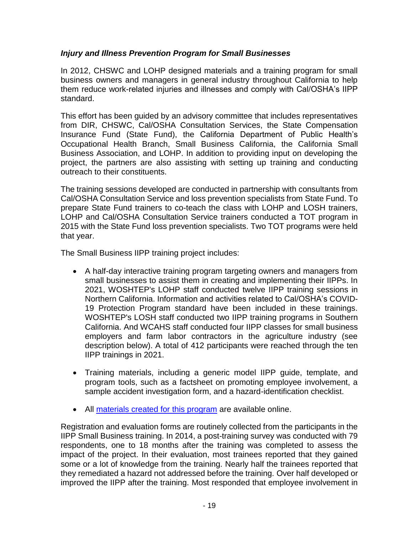## *Injury and Illness Prevention Program for Small Businesses*

In 2012, CHSWC and LOHP designed materials and a training program for small business owners and managers in general industry throughout California to help them reduce work-related injuries and illnesses and comply with Cal/OSHA's IIPP standard.

This effort has been guided by an advisory committee that includes representatives from DIR, CHSWC, Cal/OSHA Consultation Services, the State Compensation Insurance Fund (State Fund), the California Department of Public Health's Occupational Health Branch, Small Business California, the California Small Business Association, and LOHP. In addition to providing input on developing the project, the partners are also assisting with setting up training and conducting outreach to their constituents.

The training sessions developed are conducted in partnership with consultants from Cal/OSHA Consultation Service and loss prevention specialists from State Fund. To prepare State Fund trainers to co-teach the class with LOHP and LOSH trainers, LOHP and Cal/OSHA Consultation Service trainers conducted a TOT program in 2015 with the State Fund loss prevention specialists. Two TOT programs were held that year.

The Small Business IIPP training project includes:

- A half-day interactive training program targeting owners and managers from small businesses to assist them in creating and implementing their IIPPs. In 2021, WOSHTEP's LOHP staff conducted twelve IIPP training sessions in Northern California. Information and activities related to Cal/OSHA's COVID-19 Protection Program standard have been included in these trainings. WOSHTEP's LOSH staff conducted two IIPP training programs in Southern California. And WCAHS staff conducted four IIPP classes for small business employers and farm labor contractors in the agriculture industry (see description below). A total of 412 participants were reached through the ten IIPP trainings in 2021.
- Training materials, including a generic model IIPP guide, template, and program tools, such as a factsheet on promoting employee involvement, a sample accident investigation form, and a hazard-identification checklist.
- All [materials created for this program](http://www.dir.ca.gov/chswc/WOSHTEP/iipp/) are available online.

Registration and evaluation forms are routinely collected from the participants in the IIPP Small Business training. In 2014, a post-training survey was conducted with 79 respondents, one to 18 months after the training was completed to assess the impact of the project. In their evaluation, most trainees reported that they gained some or a lot of knowledge from the training. Nearly half the trainees reported that they remediated a hazard not addressed before the training. Over half developed or improved the IIPP after the training. Most responded that employee involvement in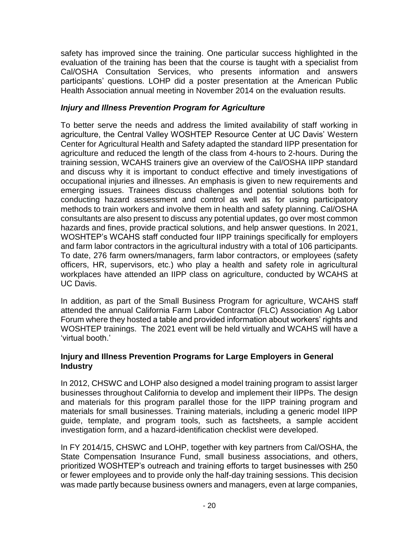safety has improved since the training. One particular success highlighted in the evaluation of the training has been that the course is taught with a specialist from Cal/OSHA Consultation Services, who presents information and answers participants' questions. LOHP did a poster presentation at the American Public Health Association annual meeting in November 2014 on the evaluation results.

# *Injury and Illness Prevention Program for Agriculture*

To better serve the needs and address the limited availability of staff working in agriculture, the Central Valley WOSHTEP Resource Center at UC Davis' Western Center for Agricultural Health and Safety adapted the standard IIPP presentation for agriculture and reduced the length of the class from 4-hours to 2-hours. During the training session, WCAHS trainers give an overview of the Cal/OSHA IIPP standard and discuss why it is important to conduct effective and timely investigations of occupational injuries and illnesses. An emphasis is given to new requirements and emerging issues. Trainees discuss challenges and potential solutions both for conducting hazard assessment and control as well as for using participatory methods to train workers and involve them in health and safety planning. Cal/OSHA consultants are also present to discuss any potential updates, go over most common hazards and fines, provide practical solutions, and help answer questions. In 2021, WOSHTEP's WCAHS staff conducted four IIPP trainings specifically for employers and farm labor contractors in the agricultural industry with a total of 106 participants. To date, 276 farm owners/managers, farm labor contractors, or employees (safety officers, HR, supervisors, etc.) who play a health and safety role in agricultural workplaces have attended an IIPP class on agriculture, conducted by WCAHS at UC Davis.

In addition, as part of the Small Business Program for agriculture, WCAHS staff attended the annual California Farm Labor Contractor (FLC) Association Ag Labor Forum where they hosted a table and provided information about workers' rights and WOSHTEP trainings. The 2021 event will be held virtually and WCAHS will have a 'virtual booth.'

## **Injury and Illness Prevention Programs for Large Employers in General Industry**

In 2012, CHSWC and LOHP also designed a model training program to assist larger businesses throughout California to develop and implement their IIPPs. The design and materials for this program parallel those for the IIPP training program and materials for small businesses. Training materials, including a generic model IIPP guide, template, and program tools, such as factsheets, a sample accident investigation form, and a hazard-identification checklist were developed.

In FY 2014/15, CHSWC and LOHP, together with key partners from Cal/OSHA, the State Compensation Insurance Fund, small business associations, and others, prioritized WOSHTEP's outreach and training efforts to target businesses with 250 or fewer employees and to provide only the half-day training sessions. This decision was made partly because business owners and managers, even at large companies,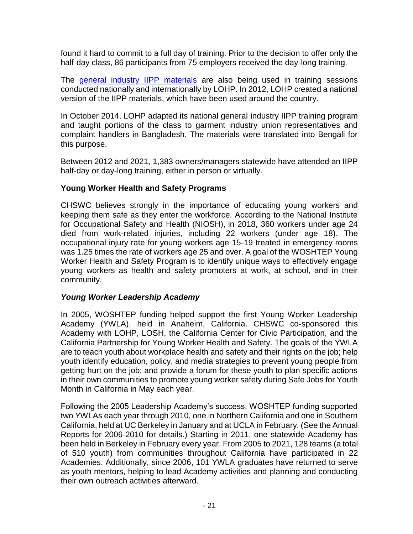found it hard to commit to a full day of training. Prior to the decision to offer only the half-day class, 86 participants from 75 employers received the day-long training.

The [general industry IIPP materials](http://www.dir.ca.gov/chswc/WOSHTEP/iipp/) are also being used in training sessions conducted nationally and internationally by LOHP. In 2012, LOHP created a national version of the IIPP materials, which have been used around the country.

In October 2014, LOHP adapted its national general industry IIPP training program and taught portions of the class to garment industry union representatives and complaint handlers in Bangladesh. The materials were translated into Bengali for this purpose.

Between 2012 and 2021, 1,383 owners/managers statewide have attended an IIPP half-day or day-long training, either in person or virtually.

# **Young Worker Health and Safety Programs**

CHSWC believes strongly in the importance of educating young workers and keeping them safe as they enter the workforce. According to the National Institute for Occupational Safety and Health (NIOSH), in 2018, 360 workers under age 24 died from work-related injuries, including 22 workers (under age 18). The occupational injury rate for young workers age 15-19 treated in emergency rooms was 1.25 times the rate of workers age 25 and over. A goal of the WOSHTEP Young Worker Health and Safety Program is to identify unique ways to effectively engage young workers as health and safety promoters at work, at school, and in their community.

# *Young Worker Leadership Academy*

In 2005, WOSHTEP funding helped support the first Young Worker Leadership Academy (YWLA), held in Anaheim, California. CHSWC co-sponsored this Academy with LOHP, LOSH, the California Center for Civic Participation, and the California Partnership for Young Worker Health and Safety. The goals of the YWLA are to teach youth about workplace health and safety and their rights on the job; help youth identify education, policy, and media strategies to prevent young people from getting hurt on the job; and provide a forum for these youth to plan specific actions in their own communities to promote young worker safety during Safe Jobs for Youth Month in California in May each year.

Following the 2005 Leadership Academy's success, WOSHTEP funding supported two YWLAs each year through 2010, one in Northern California and one in Southern California, held at UC Berkeley in January and at UCLA in February. (See the Annual Reports for 2006-2010 for details.) Starting in 2011, one statewide Academy has been held in Berkeley in February every year. From 2005 to 2021, 128 teams (a total of 510 youth) from communities throughout California have participated in 22 Academies. Additionally, since 2006, 101 YWLA graduates have returned to serve as youth mentors, helping to lead Academy activities and planning and conducting their own outreach activities afterward.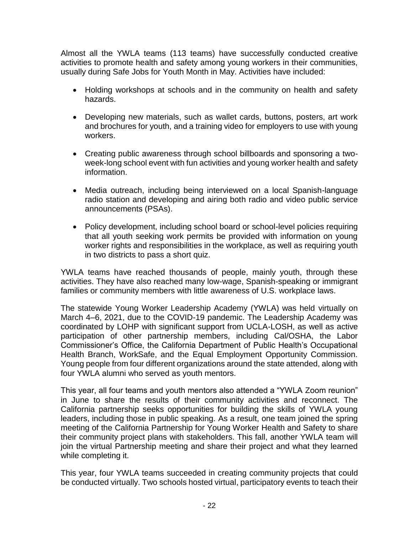Almost all the YWLA teams (113 teams) have successfully conducted creative activities to promote health and safety among young workers in their communities, usually during Safe Jobs for Youth Month in May. Activities have included:

- Holding workshops at schools and in the community on health and safety hazards.
- Developing new materials, such as wallet cards, buttons, posters, art work and brochures for youth, and a training video for employers to use with young workers.
- Creating public awareness through school billboards and sponsoring a twoweek-long school event with fun activities and young worker health and safety information.
- Media outreach, including being interviewed on a local Spanish-language radio station and developing and airing both radio and video public service announcements (PSAs).
- Policy development, including school board or school-level policies requiring that all youth seeking work permits be provided with information on young worker rights and responsibilities in the workplace, as well as requiring youth in two districts to pass a short quiz.

YWLA teams have reached thousands of people, mainly youth, through these activities. They have also reached many low-wage, Spanish-speaking or immigrant families or community members with little awareness of U.S. workplace laws.

The statewide Young Worker Leadership Academy (YWLA) was held virtually on March 4–6, 2021, due to the COVID-19 pandemic. The Leadership Academy was coordinated by LOHP with significant support from UCLA-LOSH, as well as active participation of other partnership members, including Cal/OSHA, the Labor Commissioner's Office, the California Department of Public Health's Occupational Health Branch, WorkSafe, and the Equal Employment Opportunity Commission. Young people from four different organizations around the state attended, along with four YWLA alumni who served as youth mentors.

This year, all four teams and youth mentors also attended a "YWLA Zoom reunion" in June to share the results of their community activities and reconnect. The California partnership seeks opportunities for building the skills of YWLA young leaders, including those in public speaking. As a result, one team joined the spring meeting of the California Partnership for Young Worker Health and Safety to share their community project plans with stakeholders. This fall, another YWLA team will join the virtual Partnership meeting and share their project and what they learned while completing it.

This year, four YWLA teams succeeded in creating community projects that could be conducted virtually. Two schools hosted virtual, participatory events to teach their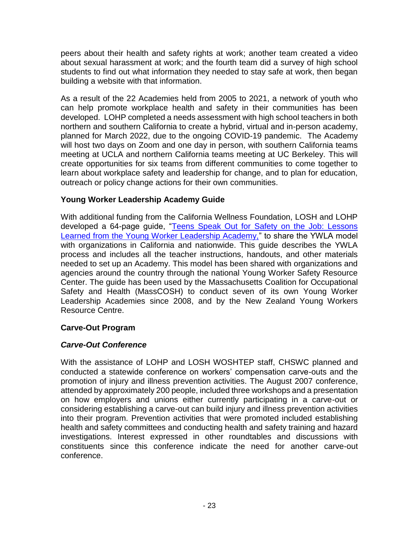peers about their health and safety rights at work; another team created a video about sexual harassment at work; and the fourth team did a survey of high school students to find out what information they needed to stay safe at work, then began building a website with that information.

As a result of the 22 Academies held from 2005 to 2021, a network of youth who can help promote workplace health and safety in their communities has been developed. LOHP completed a needs assessment with high school teachers in both northern and southern California to create a hybrid, virtual and in-person academy, planned for March 2022, due to the ongoing COVID-19 pandemic. The Academy will host two days on Zoom and one day in person, with southern California teams meeting at UCLA and northern California teams meeting at UC Berkeley. This will create opportunities for six teams from different communities to come together to learn about workplace safety and leadership for change, and to plan for education, outreach or policy change actions for their own communities.

# **Young Worker Leadership Academy Guide**

With additional funding from the California Wellness Foundation, LOSH and LOHP developed a 64-page guide, ["Teens Speak Out for Safety on the Job: Lessons](https://lohp.berkeley.edu/teens-speak-out/)  [Learned from the Young Worker Leadership Academy,"](https://lohp.berkeley.edu/teens-speak-out/) to share the YWLA model with organizations in California and nationwide. This guide describes the YWLA process and includes all the teacher instructions, handouts, and other materials needed to set up an Academy. This model has been shared with organizations and agencies around the country through the national Young Worker Safety Resource Center. The guide has been used by the Massachusetts Coalition for Occupational Safety and Health (MassCOSH) to conduct seven of its own Young Worker Leadership Academies since 2008, and by the New Zealand Young Workers Resource Centre.

# **Carve-Out Program**

# *Carve-Out Conference*

With the assistance of LOHP and LOSH WOSHTEP staff, CHSWC planned and conducted a statewide conference on workers' compensation carve-outs and the promotion of injury and illness prevention activities. The August 2007 conference, attended by approximately 200 people, included three workshops and a presentation on how employers and unions either currently participating in a carve-out or considering establishing a carve-out can build injury and illness prevention activities into their program. Prevention activities that were promoted included establishing health and safety committees and conducting health and safety training and hazard investigations. Interest expressed in other roundtables and discussions with constituents since this conference indicate the need for another carve-out conference.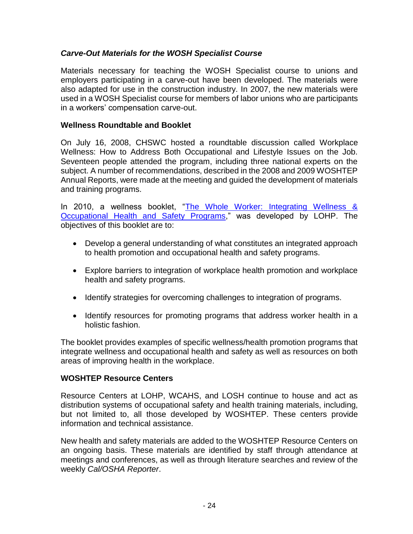# *Carve-Out Materials for the WOSH Specialist Course*

Materials necessary for teaching the WOSH Specialist course to unions and employers participating in a carve-out have been developed. The materials were also adapted for use in the construction industry. In 2007, the new materials were used in a WOSH Specialist course for members of labor unions who are participants in a workers' compensation carve-out.

## **Wellness Roundtable and Booklet**

On July 16, 2008, CHSWC hosted a roundtable discussion called Workplace Wellness: How to Address Both Occupational and Lifestyle Issues on the Job. Seventeen people attended the program, including three national experts on the subject. A number of recommendations, described in the 2008 and 2009 WOSHTEP Annual Reports, were made at the meeting and guided the development of materials and training programs.

In 2010, a wellness booklet, "The Whole Worker: Integrating Wellness & [Occupational Health and Safety Programs,](http://www.dir.ca.gov/chswc/WOSHTEP/Publications/WOSHTEP_TheWholeWorker.pdf)" was developed by LOHP. The objectives of this booklet are to:

- Develop a general understanding of what constitutes an integrated approach to health promotion and occupational health and safety programs.
- Explore barriers to integration of workplace health promotion and workplace health and safety programs.
- Identify strategies for overcoming challenges to integration of programs.
- Identify resources for promoting programs that address worker health in a holistic fashion.

The booklet provides examples of specific wellness/health promotion programs that integrate wellness and occupational health and safety as well as resources on both areas of improving health in the workplace.

# **WOSHTEP Resource Centers**

Resource Centers at LOHP, WCAHS, and LOSH continue to house and act as distribution systems of occupational safety and health training materials, including, but not limited to, all those developed by WOSHTEP. These centers provide information and technical assistance.

New health and safety materials are added to the WOSHTEP Resource Centers on an ongoing basis. These materials are identified by staff through attendance at meetings and conferences, as well as through literature searches and review of the weekly *Cal/OSHA Reporter*.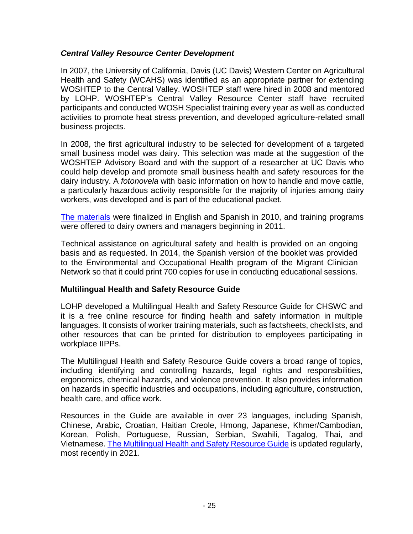## *Central Valley Resource Center Development*

In 2007, the University of California, Davis (UC Davis) Western Center on Agricultural Health and Safety (WCAHS) was identified as an appropriate partner for extending WOSHTEP to the Central Valley. WOSHTEP staff were hired in 2008 and mentored by LOHP. WOSHTEP's Central Valley Resource Center staff have recruited participants and conducted WOSH Specialist training every year as well as conducted activities to promote heat stress prevention, and developed agriculture-related small business projects.

In 2008, the first agricultural industry to be selected for development of a targeted small business model was dairy. This selection was made at the suggestion of the WOSHTEP Advisory Board and with the support of a researcher at UC Davis who could help develop and promote small business health and safety resources for the dairy industry. A *fotonovela* with basic information on how to handle and move cattle, a particularly hazardous activity responsible for the majority of injuries among dairy workers, was developed and is part of the educational packet.

[The materials](https://agcenter.ucdavis.edu/dairy-safety-training) were finalized in English and Spanish in 2010, and training programs were offered to dairy owners and managers beginning in 2011.

Technical assistance on agricultural safety and health is provided on an ongoing basis and as requested. In 2014, the Spanish version of the booklet was provided to the Environmental and Occupational Health program of the Migrant Clinician Network so that it could print 700 copies for use in conducting educational sessions.

## **Multilingual Health and Safety Resource Guide**

LOHP developed a Multilingual Health and Safety Resource Guide for CHSWC and it is a free online resource for finding health and safety information in multiple languages. It consists of worker training materials, such as factsheets, checklists, and other resources that can be printed for distribution to employees participating in workplace IIPPs.

The Multilingual Health and Safety Resource Guide covers a broad range of topics, including identifying and controlling hazards, legal rights and responsibilities, ergonomics, chemical hazards, and violence prevention. It also provides information on hazards in specific industries and occupations, including agriculture, construction, health care, and office work.

Resources in the Guide are available in over 23 languages, including [Spanish,](http://www.dir.ca.gov/chswc/MultilingualGuide/MultilingualGuide.html#Spanish#Spanish) [Chinese,](http://www.dir.ca.gov/chswc/MultilingualGuide/MultilingualGuide.html#Chinese#Chinese) [Arabic,](http://www.dir.ca.gov/chswc/MultilingualGuide/MultilingualGuide.html#Arabic#Arabic) [Croatian,](http://www.dir.ca.gov/chswc/MultilingualGuide/MultilingualGuide.html#Croatian#Croatian) [Haitian Creole,](http://www.dir.ca.gov/chswc/MultilingualGuide/MultilingualGuide.html#Haitian#Haitian) [Hmong,](http://www.dir.ca.gov/chswc/MultilingualGuide/MultilingualGuide.html#Hmong#Hmong) [Japanese,](http://www.dir.ca.gov/chswc/MultilingualGuide/MultilingualGuide.html#Japanese#Japanese) [Khmer/Cambodian,](http://www.dir.ca.gov/chswc/MultilingualGuide/MultilingualGuide.html#Khmer#Khmer) [Korean,](http://www.dir.ca.gov/chswc/MultilingualGuide/MultilingualGuide.html#Korean#Korean) [Polish,](http://www.dir.ca.gov/chswc/MultilingualGuide/MultilingualGuide.html#Polish#Polish) [Portuguese,](http://www.dir.ca.gov/chswc/MultilingualGuide/MultilingualGuide.html#Portuguese#Portuguese) [Russian,](http://www.dir.ca.gov/chswc/MultilingualGuide/MultilingualGuide.html#Russian#Russian) [Serbian,](http://www.dir.ca.gov/chswc/MultilingualGuide/MultilingualGuide.html#Serbian#Serbian) [Swahili,](http://www.dir.ca.gov/chswc/MultilingualGuide/MultilingualGuide.html#Swahili#Swahili) [Tagalog,](http://www.dir.ca.gov/chswc/MultilingualGuide/MultilingualGuide.html#Tagalog#Tagalog) [Thai,](http://www.dir.ca.gov/chswc/MultilingualGuide/MultilingualGuide.html#Thai#Thai) and [Vietnamese.](http://www.dir.ca.gov/chswc/MultilingualGuide/MultilingualGuide.html#Vietnamese#Vietnamese) [The Multilingual Health and Safety Resource Guide](http://www.dir.ca.gov/CHSWC/MultilingualGuide/MultilingualGuideMain.html) is updated regularly, most recently in 2021.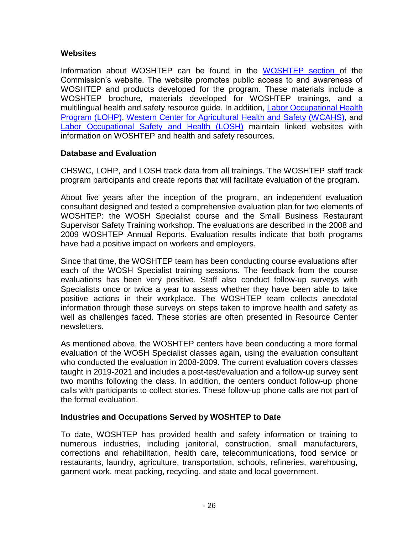# **Websites**

Information about WOSHTEP can be found in the [WOSHTEP section o](https://www.dir.ca.gov/chswc/woshtep.html)f the Commission's website. The website promotes public access to and awareness of WOSHTEP and products developed for the program. These materials include a WOSHTEP brochure, materials developed for WOSHTEP trainings, and a multilingual health and safety resource guide. In addition, [Labor Occupational](http://www.lohp.org/) Health [Program \(LOHP\),](http://www.lohp.org/) [Western Center for Agricultural Health and Safety \(WCAHS\),](http://aghealth.ucdavis.edu/) and [Labor Occupational Safety and Health \(LOSH\)](http://www.losh.ucla.edu/) maintain linked websites with information on WOSHTEP and health and safety resources.

## **Database and Evaluation**

CHSWC, LOHP, and LOSH track data from all trainings. The WOSHTEP staff track program participants and create reports that will facilitate evaluation of the program.

About five years after the inception of the program, an independent evaluation consultant designed and tested a comprehensive evaluation plan for two elements of WOSHTEP: the WOSH Specialist course and the Small Business Restaurant Supervisor Safety Training workshop. The evaluations are described in the 2008 and 2009 WOSHTEP Annual Reports. Evaluation results indicate that both programs have had a positive impact on workers and employers.

Since that time, the WOSHTEP team has been conducting course evaluations after each of the WOSH Specialist training sessions. The feedback from the course evaluations has been very positive. Staff also conduct follow-up surveys with Specialists once or twice a year to assess whether they have been able to take positive actions in their workplace. The WOSHTEP team collects anecdotal information through these surveys on steps taken to improve health and safety as well as challenges faced. These stories are often presented in Resource Center newsletters.

As mentioned above, the WOSHTEP centers have been conducting a more formal evaluation of the WOSH Specialist classes again, using the evaluation consultant who conducted the evaluation in 2008-2009. The current evaluation covers classes taught in 2019-2021 and includes a post-test/evaluation and a follow-up survey sent two months following the class. In addition, the centers conduct follow-up phone calls with participants to collect stories. These follow-up phone calls are not part of the formal evaluation.

# **Industries and Occupations Served by WOSHTEP to Date**

To date, WOSHTEP has provided health and safety information or training to numerous industries, including janitorial, construction, small manufacturers, corrections and rehabilitation, health care, telecommunications, food service or restaurants, laundry, agriculture, transportation, schools, refineries, warehousing, garment work, meat packing, recycling, and state and local government.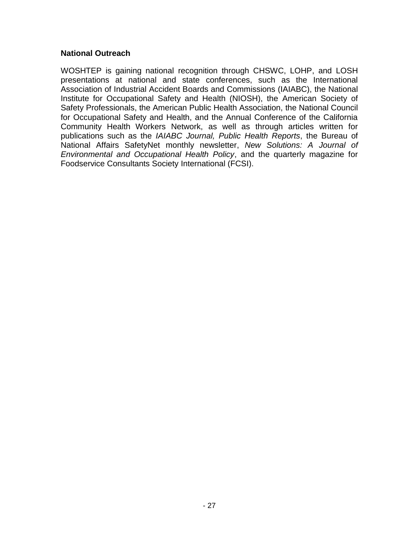## **National Outreach**

WOSHTEP is gaining national recognition through CHSWC, LOHP, and LOSH presentations at national and state conferences, such as the International Association of Industrial Accident Boards and Commissions (IAIABC), the National Institute for Occupational Safety and Health (NIOSH), the American Society of Safety Professionals, the American Public Health Association, the National Council for Occupational Safety and Health, and the Annual Conference of the California Community Health Workers Network, as well as through articles written for publications such as the *IAIABC Journal, Public Health Reports*, the Bureau of National Affairs SafetyNet monthly newsletter, *New Solutions: A Journal of Environmental and Occupational Health Policy*, and the quarterly magazine for Foodservice Consultants Society International (FCSI).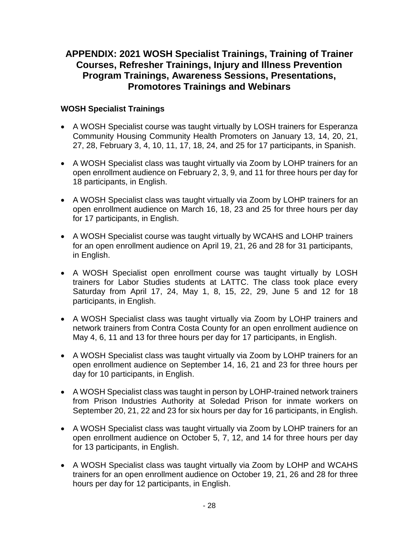# **APPENDIX: 2021 WOSH Specialist Trainings, Training of Trainer Courses, Refresher Trainings, Injury and Illness Prevention Program Trainings, Awareness Sessions, Presentations, Promotores Trainings and Webinars**

# **WOSH Specialist Trainings**

- A WOSH Specialist course was taught virtually by LOSH trainers for Esperanza Community Housing Community Health Promoters on January 13, 14, 20, 21, 27, 28, February 3, 4, 10, 11, 17, 18, 24, and 25 for 17 participants, in Spanish.
- A WOSH Specialist class was taught virtually via Zoom by LOHP trainers for an open enrollment audience on February 2, 3, 9, and 11 for three hours per day for 18 participants, in English.
- A WOSH Specialist class was taught virtually via Zoom by LOHP trainers for an open enrollment audience on March 16, 18, 23 and 25 for three hours per day for 17 participants, in English.
- A WOSH Specialist course was taught virtually by WCAHS and LOHP trainers for an open enrollment audience on April 19, 21, 26 and 28 for 31 participants, in English.
- A WOSH Specialist open enrollment course was taught virtually by LOSH trainers for Labor Studies students at LATTC. The class took place every Saturday from April 17, 24, May 1, 8, 15, 22, 29, June 5 and 12 for 18 participants, in English.
- A WOSH Specialist class was taught virtually via Zoom by LOHP trainers and network trainers from Contra Costa County for an open enrollment audience on May 4, 6, 11 and 13 for three hours per day for 17 participants, in English.
- A WOSH Specialist class was taught virtually via Zoom by LOHP trainers for an open enrollment audience on September 14, 16, 21 and 23 for three hours per day for 10 participants, in English.
- A WOSH Specialist class was taught in person by LOHP-trained network trainers from Prison Industries Authority at Soledad Prison for inmate workers on September 20, 21, 22 and 23 for six hours per day for 16 participants, in English.
- A WOSH Specialist class was taught virtually via Zoom by LOHP trainers for an open enrollment audience on October 5, 7, 12, and 14 for three hours per day for 13 participants, in English.
- A WOSH Specialist class was taught virtually via Zoom by LOHP and WCAHS trainers for an open enrollment audience on October 19, 21, 26 and 28 for three hours per day for 12 participants, in English.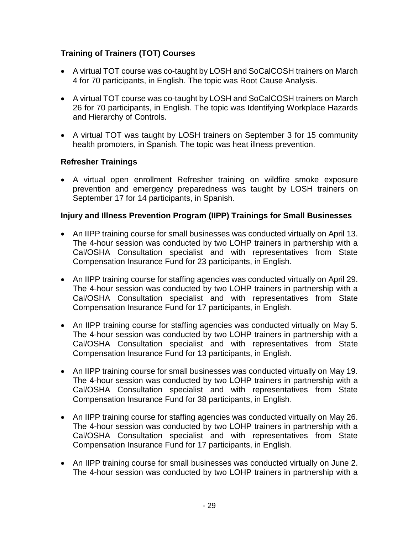# **Training of Trainers (TOT) Courses**

- A virtual TOT course was co-taught by LOSH and SoCalCOSH trainers on March 4 for 70 participants, in English. The topic was Root Cause Analysis.
- A virtual TOT course was co-taught by LOSH and SoCalCOSH trainers on March 26 for 70 participants, in English. The topic was Identifying Workplace Hazards and Hierarchy of Controls.
- A virtual TOT was taught by LOSH trainers on September 3 for 15 community health promoters, in Spanish. The topic was heat illness prevention.

# **Refresher Trainings**

 A virtual open enrollment Refresher training on wildfire smoke exposure prevention and emergency preparedness was taught by LOSH trainers on September 17 for 14 participants, in Spanish.

## **Injury and Illness Prevention Program (IIPP) Trainings for Small Businesses**

- An IIPP training course for small businesses was conducted virtually on April 13. The 4-hour session was conducted by two LOHP trainers in partnership with a Cal/OSHA Consultation specialist and with representatives from State Compensation Insurance Fund for 23 participants, in English.
- An IIPP training course for staffing agencies was conducted virtually on April 29. The 4-hour session was conducted by two LOHP trainers in partnership with a Cal/OSHA Consultation specialist and with representatives from State Compensation Insurance Fund for 17 participants, in English.
- An IIPP training course for staffing agencies was conducted virtually on May 5. The 4-hour session was conducted by two LOHP trainers in partnership with a Cal/OSHA Consultation specialist and with representatives from State Compensation Insurance Fund for 13 participants, in English.
- An IIPP training course for small businesses was conducted virtually on May 19. The 4-hour session was conducted by two LOHP trainers in partnership with a Cal/OSHA Consultation specialist and with representatives from State Compensation Insurance Fund for 38 participants, in English.
- An IIPP training course for staffing agencies was conducted virtually on May 26. The 4-hour session was conducted by two LOHP trainers in partnership with a Cal/OSHA Consultation specialist and with representatives from State Compensation Insurance Fund for 17 participants, in English.
- An IIPP training course for small businesses was conducted virtually on June 2. The 4-hour session was conducted by two LOHP trainers in partnership with a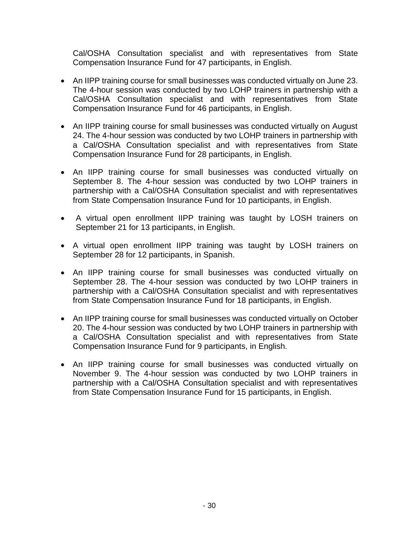Cal/OSHA Consultation specialist and with representatives from State Compensation Insurance Fund for 47 participants, in English.

- An IIPP training course for small businesses was conducted virtually on June 23. The 4-hour session was conducted by two LOHP trainers in partnership with a Cal/OSHA Consultation specialist and with representatives from State Compensation Insurance Fund for 46 participants, in English.
- An IIPP training course for small businesses was conducted virtually on August 24. The 4-hour session was conducted by two LOHP trainers in partnership with a Cal/OSHA Consultation specialist and with representatives from State Compensation Insurance Fund for 28 participants, in English.
- An IIPP training course for small businesses was conducted virtually on September 8. The 4-hour session was conducted by two LOHP trainers in partnership with a Cal/OSHA Consultation specialist and with representatives from State Compensation Insurance Fund for 10 participants, in English.
- A virtual open enrollment IIPP training was taught by LOSH trainers on September 21 for 13 participants, in English.
- A virtual open enrollment IIPP training was taught by LOSH trainers on September 28 for 12 participants, in Spanish.
- An IIPP training course for small businesses was conducted virtually on September 28. The 4-hour session was conducted by two LOHP trainers in partnership with a Cal/OSHA Consultation specialist and with representatives from State Compensation Insurance Fund for 18 participants, in English.
- An IIPP training course for small businesses was conducted virtually on October 20. The 4-hour session was conducted by two LOHP trainers in partnership with a Cal/OSHA Consultation specialist and with representatives from State Compensation Insurance Fund for 9 participants, in English.
- An IIPP training course for small businesses was conducted virtually on November 9. The 4-hour session was conducted by two LOHP trainers in partnership with a Cal/OSHA Consultation specialist and with representatives from State Compensation Insurance Fund for 15 participants, in English.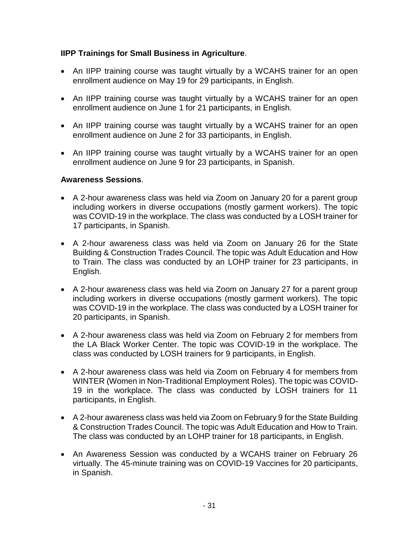# **IIPP Trainings for Small Business in Agriculture**.

- An IIPP training course was taught virtually by a WCAHS trainer for an open enrollment audience on May 19 for 29 participants, in English.
- An IIPP training course was taught virtually by a WCAHS trainer for an open enrollment audience on June 1 for 21 participants, in English.
- An IIPP training course was taught virtually by a WCAHS trainer for an open enrollment audience on June 2 for 33 participants, in English.
- An IIPP training course was taught virtually by a WCAHS trainer for an open enrollment audience on June 9 for 23 participants, in Spanish.

## **Awareness Sessions**.

- A 2-hour awareness class was held via Zoom on January 20 for a parent group including workers in diverse occupations (mostly garment workers). The topic was COVID-19 in the workplace. The class was conducted by a LOSH trainer for 17 participants, in Spanish.
- A 2-hour awareness class was held via Zoom on January 26 for the State Building & Construction Trades Council. The topic was Adult Education and How to Train. The class was conducted by an LOHP trainer for 23 participants, in English.
- A 2-hour awareness class was held via Zoom on January 27 for a parent group including workers in diverse occupations (mostly garment workers). The topic was COVID-19 in the workplace. The class was conducted by a LOSH trainer for 20 participants, in Spanish.
- A 2-hour awareness class was held via Zoom on February 2 for members from the LA Black Worker Center. The topic was COVID-19 in the workplace. The class was conducted by LOSH trainers for 9 participants, in English.
- A 2-hour awareness class was held via Zoom on February 4 for members from WINTER (Women in Non-Traditional Employment Roles). The topic was COVID-19 in the workplace. The class was conducted by LOSH trainers for 11 participants, in English.
- A 2-hour awareness class was held via Zoom on February 9 for the State Building & Construction Trades Council. The topic was Adult Education and How to Train. The class was conducted by an LOHP trainer for 18 participants, in English.
- An Awareness Session was conducted by a WCAHS trainer on February 26 virtually. The 45-minute training was on COVID-19 Vaccines for 20 participants, in Spanish.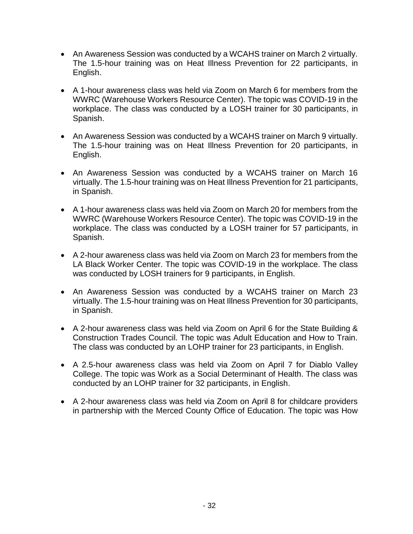- An Awareness Session was conducted by a WCAHS trainer on March 2 virtually. The 1.5-hour training was on Heat Illness Prevention for 22 participants, in English.
- A 1-hour awareness class was held via Zoom on March 6 for members from the WWRC (Warehouse Workers Resource Center). The topic was COVID-19 in the workplace. The class was conducted by a LOSH trainer for 30 participants, in Spanish.
- An Awareness Session was conducted by a WCAHS trainer on March 9 virtually. The 1.5-hour training was on Heat Illness Prevention for 20 participants, in English.
- An Awareness Session was conducted by a WCAHS trainer on March 16 virtually. The 1.5-hour training was on Heat Illness Prevention for 21 participants, in Spanish.
- A 1-hour awareness class was held via Zoom on March 20 for members from the WWRC (Warehouse Workers Resource Center). The topic was COVID-19 in the workplace. The class was conducted by a LOSH trainer for 57 participants, in Spanish.
- A 2-hour awareness class was held via Zoom on March 23 for members from the LA Black Worker Center. The topic was COVID-19 in the workplace. The class was conducted by LOSH trainers for 9 participants, in English.
- An Awareness Session was conducted by a WCAHS trainer on March 23 virtually. The 1.5-hour training was on Heat Illness Prevention for 30 participants, in Spanish.
- A 2-hour awareness class was held via Zoom on April 6 for the State Building & Construction Trades Council. The topic was Adult Education and How to Train. The class was conducted by an LOHP trainer for 23 participants, in English.
- A 2.5-hour awareness class was held via Zoom on April 7 for Diablo Valley College. The topic was Work as a Social Determinant of Health. The class was conducted by an LOHP trainer for 32 participants, in English.
- A 2-hour awareness class was held via Zoom on April 8 for childcare providers in partnership with the Merced County Office of Education. The topic was How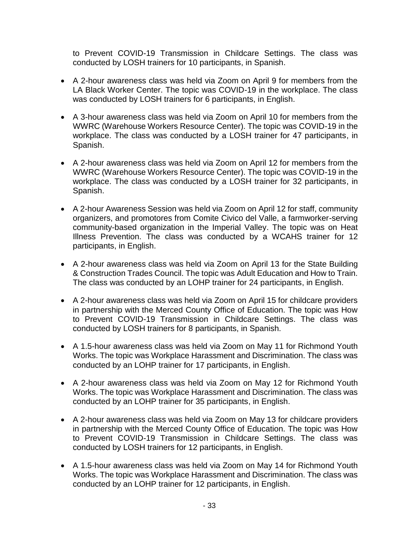to Prevent COVID-19 Transmission in Childcare Settings. The class was conducted by LOSH trainers for 10 participants, in Spanish.

- A 2-hour awareness class was held via Zoom on April 9 for members from the LA Black Worker Center. The topic was COVID-19 in the workplace. The class was conducted by LOSH trainers for 6 participants, in English.
- A 3-hour awareness class was held via Zoom on April 10 for members from the WWRC (Warehouse Workers Resource Center). The topic was COVID-19 in the workplace. The class was conducted by a LOSH trainer for 47 participants, in Spanish.
- A 2-hour awareness class was held via Zoom on April 12 for members from the WWRC (Warehouse Workers Resource Center). The topic was COVID-19 in the workplace. The class was conducted by a LOSH trainer for 32 participants, in Spanish.
- A 2-hour Awareness Session was held via Zoom on April 12 for staff, community organizers, and promotores from Comite Civico del Valle, a farmworker-serving community-based organization in the Imperial Valley. The topic was on Heat Illness Prevention. The class was conducted by a WCAHS trainer for 12 participants, in English.
- A 2-hour awareness class was held via Zoom on April 13 for the State Building & Construction Trades Council. The topic was Adult Education and How to Train. The class was conducted by an LOHP trainer for 24 participants, in English.
- A 2-hour awareness class was held via Zoom on April 15 for childcare providers in partnership with the Merced County Office of Education. The topic was How to Prevent COVID-19 Transmission in Childcare Settings. The class was conducted by LOSH trainers for 8 participants, in Spanish.
- A 1.5-hour awareness class was held via Zoom on May 11 for Richmond Youth Works. The topic was Workplace Harassment and Discrimination. The class was conducted by an LOHP trainer for 17 participants, in English.
- A 2-hour awareness class was held via Zoom on May 12 for Richmond Youth Works. The topic was Workplace Harassment and Discrimination. The class was conducted by an LOHP trainer for 35 participants, in English.
- A 2-hour awareness class was held via Zoom on May 13 for childcare providers in partnership with the Merced County Office of Education. The topic was How to Prevent COVID-19 Transmission in Childcare Settings. The class was conducted by LOSH trainers for 12 participants, in English.
- A 1.5-hour awareness class was held via Zoom on May 14 for Richmond Youth Works. The topic was Workplace Harassment and Discrimination. The class was conducted by an LOHP trainer for 12 participants, in English.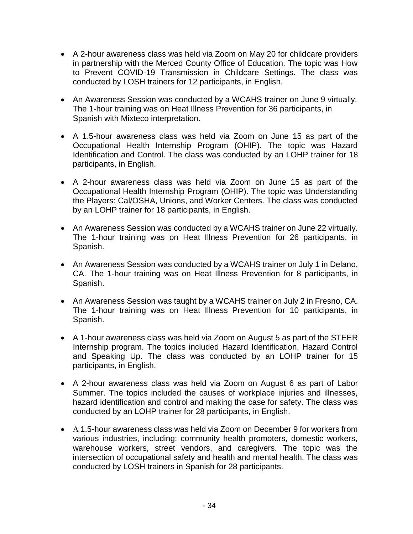- A 2-hour awareness class was held via Zoom on May 20 for childcare providers in partnership with the Merced County Office of Education. The topic was How to Prevent COVID-19 Transmission in Childcare Settings. The class was conducted by LOSH trainers for 12 participants, in English.
- An Awareness Session was conducted by a WCAHS trainer on June 9 virtually. The 1-hour training was on Heat Illness Prevention for 36 participants, in Spanish with Mixteco interpretation.
- A 1.5-hour awareness class was held via Zoom on June 15 as part of the Occupational Health Internship Program (OHIP). The topic was Hazard Identification and Control. The class was conducted by an LOHP trainer for 18 participants, in English.
- A 2-hour awareness class was held via Zoom on June 15 as part of the Occupational Health Internship Program (OHIP). The topic was Understanding the Players: Cal/OSHA, Unions, and Worker Centers. The class was conducted by an LOHP trainer for 18 participants, in English.
- An Awareness Session was conducted by a WCAHS trainer on June 22 virtually. The 1-hour training was on Heat Illness Prevention for 26 participants, in Spanish.
- An Awareness Session was conducted by a WCAHS trainer on July 1 in Delano, CA. The 1-hour training was on Heat Illness Prevention for 8 participants, in Spanish.
- An Awareness Session was taught by a WCAHS trainer on July 2 in Fresno, CA. The 1-hour training was on Heat Illness Prevention for 10 participants, in Spanish.
- A 1-hour awareness class was held via Zoom on August 5 as part of the STEER Internship program. The topics included Hazard Identification, Hazard Control and Speaking Up. The class was conducted by an LOHP trainer for 15 participants, in English.
- A 2-hour awareness class was held via Zoom on August 6 as part of Labor Summer. The topics included the causes of workplace injuries and illnesses, hazard identification and control and making the case for safety. The class was conducted by an LOHP trainer for 28 participants, in English.
- A 1.5-hour awareness class was held via Zoom on December 9 for workers from various industries, including: community health promoters, domestic workers, warehouse workers, street vendors, and caregivers. The topic was the intersection of occupational safety and health and mental health. The class was conducted by LOSH trainers in Spanish for 28 participants.